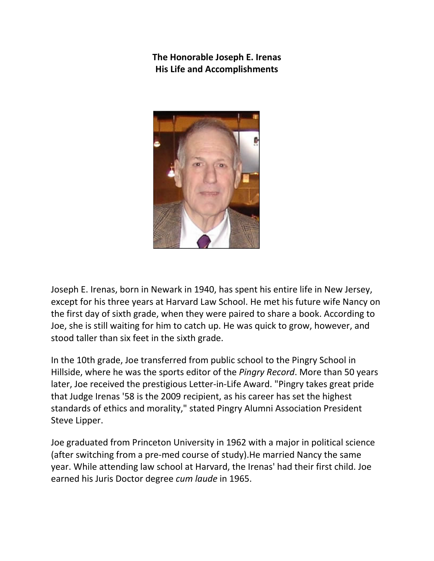**The Honorable Joseph E. Irenas His Life and Accomplishments** 



Joseph E. Irenas, born in Newark in 1940, has spent his entire life in New Jersey, except for his three years at Harvard Law School. He met his future wife Nancy on the first day of sixth grade, when they were paired to share a book. According to Joe, she is still waiting for him to catch up. He was quick to grow, however, and stood taller than six feet in the sixth grade.

In the 10th grade, Joe transferred from public school to the Pingry School in Hillside, where he was the sports editor of the *Pingry Record*. More than 50 years later, Joe received the prestigious Letter-in-Life Award. "Pingry takes great pride that Judge Irenas '58 is the 2009 recipient, as his career has set the highest standards of ethics and morality," stated Pingry Alumni Association President Steve Lipper.

Joe graduated from Princeton University in 1962 with a major in political science (after switching from a pre-med course of study).He married Nancy the same year. While attending law school at Harvard, the Irenas' had their first child. Joe earned his Juris Doctor degree *cum laude* in 1965.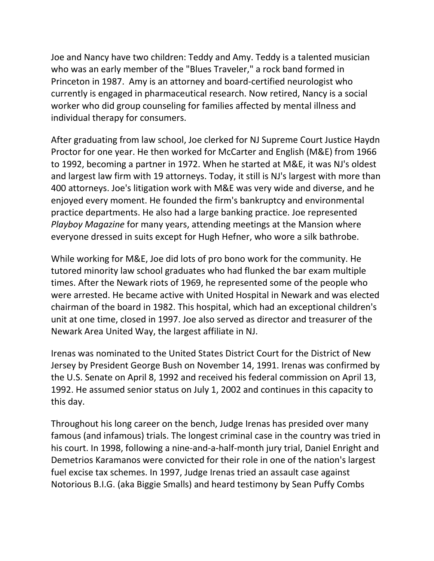Joe and Nancy have two children: Teddy and Amy. Teddy is a talented musician who was an early member of the "Blues Traveler," a rock band formed in Princeton in 1987. Amy is an attorney and board-certified neurologist who currently is engaged in pharmaceutical research. Now retired, Nancy is a social worker who did group counseling for families affected by mental illness and individual therapy for consumers.

After graduating from law school, Joe clerked for NJ Supreme Court Justice Haydn Proctor for one year. He then worked for McCarter and English (M&E) from 1966 to 1992, becoming a partner in 1972. When he started at M&E, it was NJ's oldest and largest law firm with 19 attorneys. Today, it still is NJ's largest with more than 400 attorneys. Joe's litigation work with M&E was very wide and diverse, and he enjoyed every moment. He founded the firm's bankruptcy and environmental practice departments. He also had a large banking practice. Joe represented *Playboy Magazine* for many years, attending meetings at the Mansion where everyone dressed in suits except for Hugh Hefner, who wore a silk bathrobe.

While working for M&E, Joe did lots of pro bono work for the community. He tutored minority law school graduates who had flunked the bar exam multiple times. After the Newark riots of 1969, he represented some of the people who were arrested. He became active with United Hospital in Newark and was elected chairman of the board in 1982. This hospital, which had an exceptional children's unit at one time, closed in 1997. Joe also served as director and treasurer of the Newark Area United Way, the largest affiliate in NJ.

Irenas was nominated to the United States District Court for the District of New Jersey by President George Bush on November 14, 1991. Irenas was confirmed by the U.S. Senate on April 8, 1992 and received his federal commission on April 13, 1992. He assumed senior status on July 1, 2002 and continues in this capacity to this day.

Throughout his long career on the bench, Judge Irenas has presided over many famous (and infamous) trials. The longest criminal case in the country was tried in his court. In 1998, following a nine-and-a-half-month jury trial, Daniel Enright and Demetrios Karamanos were convicted for their role in one of the nation's largest fuel excise tax schemes. In 1997, Judge Irenas tried an assault case against Notorious B.I.G. (aka Biggie Smalls) and heard testimony by Sean Puffy Combs